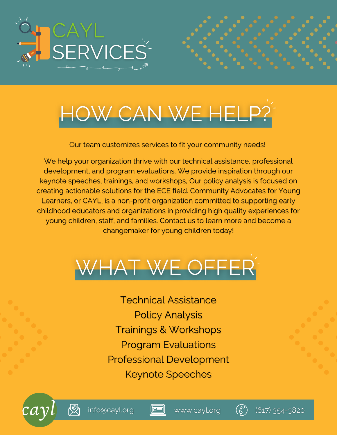

# HOW CAN WE HELP?

Our team customizes services to fit your community needs!

We help your organization thrive with our technical assistance, professional development, and program evaluations. We provide inspiration through our keynote speeches, trainings, and workshops, Our policy analysis is focused on creating actionable solutions for the ECE field. Community Advocates for Young Learners, or CAYL, is a non-profit organization committed to supporting early childhood educators and organizations in providing high quality experiences for young children, staff, and families. Contact us to learn more and become a changemaker for young children today!



Technical Assistance Policy Analysis Trainings & Workshops Program Evaluations Professional Development Keynote Speeches

 $\Box$ 







(617) 354-3820